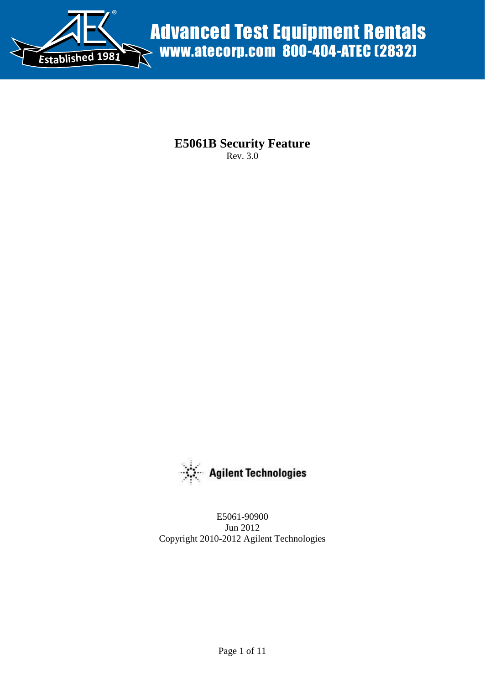

**E5061B Security Feature**  Rev. 3.0



E5061-90900 Jun 2012 Copyright 2010-2012 Agilent Technologies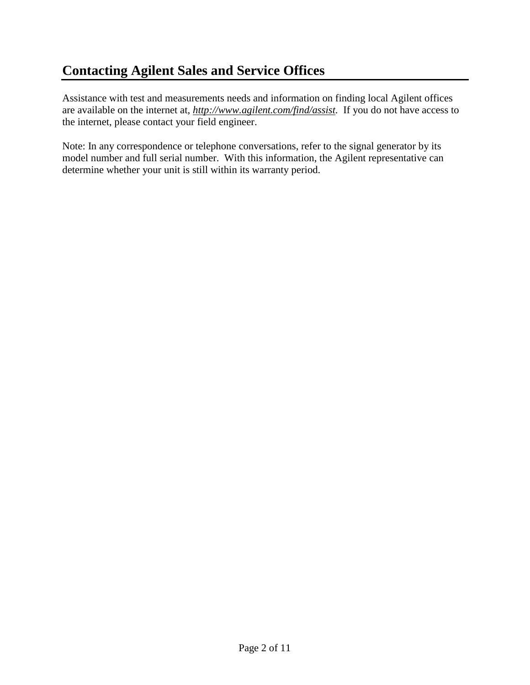# **Contacting Agilent Sales and Service Offices**

Assistance with test and measurements needs and information on finding local Agilent offices are available on the internet at, *[http://www.agilent.com/find/assist.](http://www.agilent.com/find/assist)* If you do not have access to the internet, please contact your field engineer.

Note: In any correspondence or telephone conversations, refer to the signal generator by its model number and full serial number. With this information, the Agilent representative can determine whether your unit is still within its warranty period.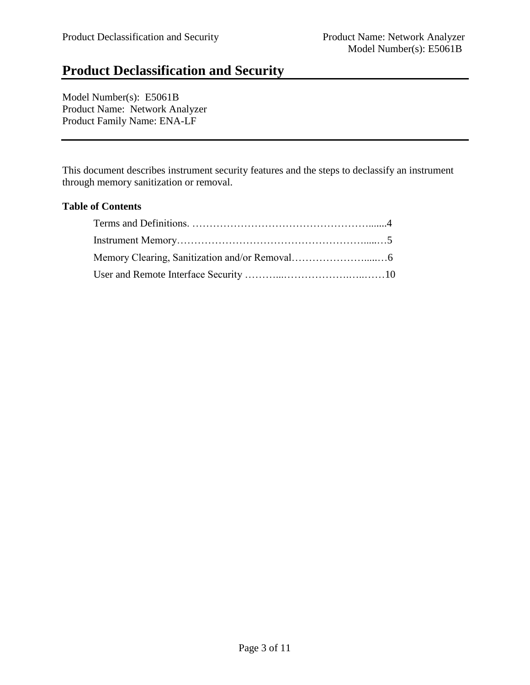# **Product Declassification and Security**

Model Number(s): E5061B Product Name: Network Analyzer Product Family Name: ENA-LF

This document describes instrument security features and the steps to declassify an instrument through memory sanitization or removal.

#### **Table of Contents**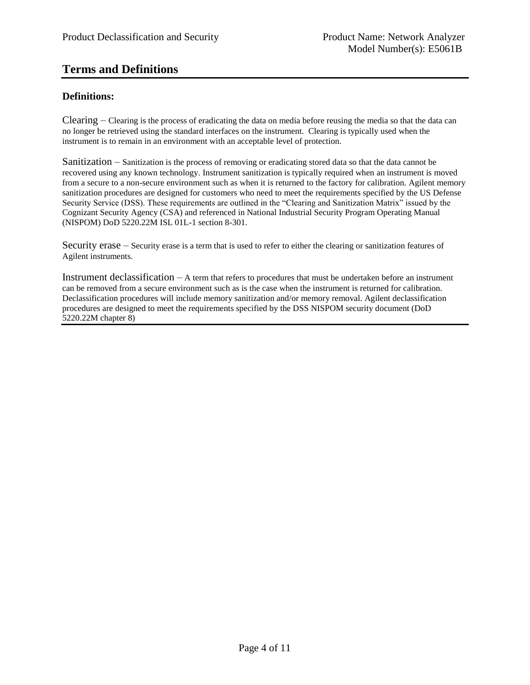## **Terms and Definitions**

#### **Definitions:**

Clearing – Clearing is the process of eradicating the data on media before reusing the media so that the data can no longer be retrieved using the standard interfaces on the instrument. Clearing is typically used when the instrument is to remain in an environment with an acceptable level of protection.

Sanitization – Sanitization is the process of removing or eradicating stored data so that the data cannot be recovered using any known technology. Instrument sanitization is typically required when an instrument is moved from a secure to a non-secure environment such as when it is returned to the factory for calibration. Agilent memory sanitization procedures are designed for customers who need to meet the requirements specified by the US Defense Security Service (DSS). These requirements are outlined in the "Clearing and Sanitization Matrix" issued by the Cognizant Security Agency (CSA) and referenced in National Industrial Security Program Operating Manual (NISPOM) DoD 5220.22M ISL 01L-1 section 8-301.

Security erase – Security erase is a term that is used to refer to either the clearing or sanitization features of Agilent instruments.

Instrument declassification – A term that refers to procedures that must be undertaken before an instrument can be removed from a secure environment such as is the case when the instrument is returned for calibration. Declassification procedures will include memory sanitization and/or memory removal. Agilent declassification procedures are designed to meet the requirements specified by the DSS NISPOM security document (DoD 5220.22M chapter 8)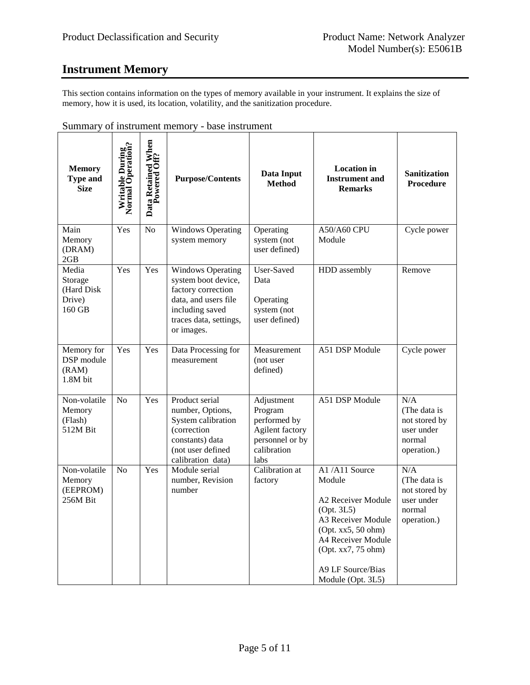## **Instrument Memory**

This section contains information on the types of memory available in your instrument. It explains the size of memory, how it is used, its location, volatility, and the sanitization procedure.

| <b>Memory</b><br><b>Type and</b><br><b>Size</b>    | Writable During<br>Normal Operation | Data Retained When<br>Powered Off? | <b>Purpose/Contents</b>                                                                                                                                  | Data Input<br><b>Method</b>                                                                        | <b>Location</b> in<br><b>Instrument and</b><br><b>Remarks</b>                                                                                                                                 | <b>Sanitization</b><br><b>Procedure</b>                                     |
|----------------------------------------------------|-------------------------------------|------------------------------------|----------------------------------------------------------------------------------------------------------------------------------------------------------|----------------------------------------------------------------------------------------------------|-----------------------------------------------------------------------------------------------------------------------------------------------------------------------------------------------|-----------------------------------------------------------------------------|
| Main<br>Memory<br>(DRAM)<br>2GB                    | Yes                                 | No                                 | Windows Operating<br>system memory                                                                                                                       | Operating<br>system (not<br>user defined)                                                          | A50/A60 CPU<br>Module                                                                                                                                                                         | Cycle power                                                                 |
| Media<br>Storage<br>(Hard Disk<br>Drive)<br>160 GB | Yes                                 | Yes                                | <b>Windows Operating</b><br>system boot device,<br>factory correction<br>data, and users file<br>including saved<br>traces data, settings,<br>or images. | User-Saved<br>Data<br>Operating<br>system (not<br>user defined)                                    | HDD assembly                                                                                                                                                                                  | Remove                                                                      |
| Memory for<br>DSP module<br>(RAM)<br>1.8M bit      | Yes                                 | Yes                                | Data Processing for<br>measurement                                                                                                                       | Measurement<br>(not user<br>defined)                                                               | A51 DSP Module                                                                                                                                                                                | Cycle power                                                                 |
| Non-volatile<br>Memory<br>(Flash)<br>512M Bit      | N <sub>o</sub>                      | Yes                                | Product serial<br>number, Options,<br>System calibration<br>(correction<br>constants) data<br>(not user defined<br>calibration data)                     | Adjustment<br>Program<br>performed by<br>Agilent factory<br>personnel or by<br>calibration<br>labs | A51 DSP Module                                                                                                                                                                                | N/A<br>(The data is<br>not stored by<br>user under<br>normal<br>operation.) |
| Non-volatile<br>Memory<br>(EEPROM)<br>256M Bit     | No                                  | Yes                                | Module serial<br>number, Revision<br>number                                                                                                              | Calibration at<br>factory                                                                          | A1/A11 Source<br>Module<br>A2 Receiver Module<br>(Opt. 3L5)<br>A3 Receiver Module<br>(Opt. xx5, 50 ohm)<br>A4 Receiver Module<br>(Opt. xx7, 75 ohm)<br>A9 LF Source/Bias<br>Module (Opt. 3L5) | N/A<br>(The data is<br>not stored by<br>user under<br>normal<br>operation.) |

Summary of instrument memory - base instrument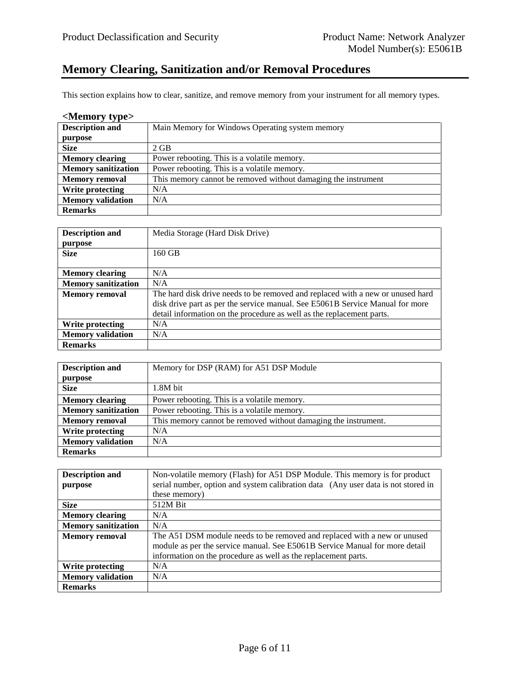## **Memory Clearing, Sanitization and/or Removal Procedures**

This section explains how to clear, sanitize, and remove memory from your instrument for all memory types.

| <memory type=""></memory>  |                                                               |  |
|----------------------------|---------------------------------------------------------------|--|
| <b>Description and</b>     | Main Memory for Windows Operating system memory               |  |
| purpose                    |                                                               |  |
| <b>Size</b>                | $2 \text{ GB}$                                                |  |
| <b>Memory clearing</b>     | Power rebooting. This is a volatile memory.                   |  |
| <b>Memory sanitization</b> | Power rebooting. This is a volatile memory.                   |  |
| <b>Memory removal</b>      | This memory cannot be removed without damaging the instrument |  |
| Write protecting           | N/A                                                           |  |
| <b>Memory validation</b>   | N/A                                                           |  |
| <b>Remarks</b>             |                                                               |  |

| <b>Description and</b>     | Media Storage (Hard Disk Drive)                                                |
|----------------------------|--------------------------------------------------------------------------------|
| purpose                    |                                                                                |
| <b>Size</b>                | 160 GB                                                                         |
|                            |                                                                                |
| <b>Memory clearing</b>     | N/A                                                                            |
| <b>Memory sanitization</b> | N/A                                                                            |
| <b>Memory removal</b>      | The hard disk drive needs to be removed and replaced with a new or unused hard |
|                            | disk drive part as per the service manual. See E5061B Service Manual for more  |
|                            | detail information on the procedure as well as the replacement parts.          |
| Write protecting           | N/A                                                                            |
| <b>Memory</b> validation   | N/A                                                                            |
| <b>Remarks</b>             |                                                                                |

| <b>Description and</b>     | Memory for DSP (RAM) for A51 DSP Module                        |  |
|----------------------------|----------------------------------------------------------------|--|
| purpose                    |                                                                |  |
| <b>Size</b>                | 1.8M bit                                                       |  |
| <b>Memory clearing</b>     | Power rebooting. This is a volatile memory.                    |  |
| <b>Memory sanitization</b> | Power rebooting. This is a volatile memory.                    |  |
| <b>Memory removal</b>      | This memory cannot be removed without damaging the instrument. |  |
| Write protecting           | N/A                                                            |  |
| <b>Memory validation</b>   | N/A                                                            |  |
| <b>Remarks</b>             |                                                                |  |

| <b>Description and</b>     | Non-volatile memory (Flash) for A51 DSP Module. This memory is for product        |
|----------------------------|-----------------------------------------------------------------------------------|
| purpose                    | serial number, option and system calibration data (Any user data is not stored in |
|                            | these memory)                                                                     |
| <b>Size</b>                | 512M Bit                                                                          |
| <b>Memory clearing</b>     | N/A                                                                               |
| <b>Memory sanitization</b> | N/A                                                                               |
| <b>Memory removal</b>      | The A51 DSM module needs to be removed and replaced with a new or unused          |
|                            | module as per the service manual. See E5061B Service Manual for more detail       |
|                            | information on the procedure as well as the replacement parts.                    |
| Write protecting           | N/A                                                                               |
| <b>Memory validation</b>   | N/A                                                                               |
| <b>Remarks</b>             |                                                                                   |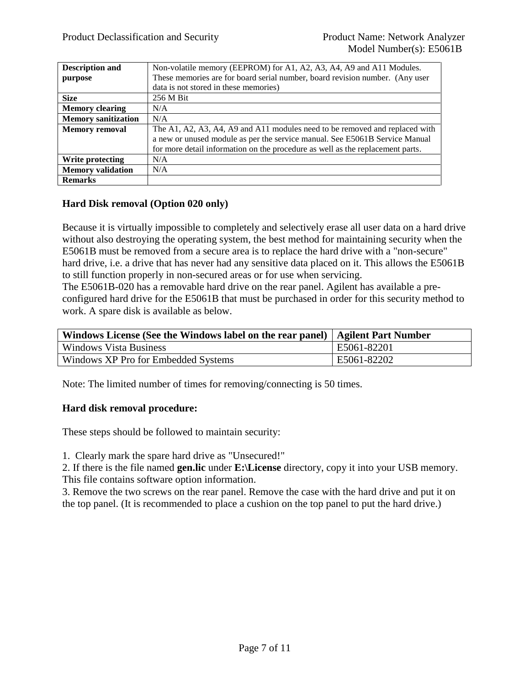| <b>Description and</b>     | Non-volatile memory (EEPROM) for A1, A2, A3, A4, A9 and A11 Modules.           |
|----------------------------|--------------------------------------------------------------------------------|
| purpose                    | These memories are for board serial number, board revision number. (Any user   |
|                            | data is not stored in these memories)                                          |
| <b>Size</b>                | 256 M Bit                                                                      |
| <b>Memory clearing</b>     | N/A                                                                            |
| <b>Memory sanitization</b> | N/A                                                                            |
| <b>Memory removal</b>      | The A1, A2, A3, A4, A9 and A11 modules need to be removed and replaced with    |
|                            | a new or unused module as per the service manual. See E5061B Service Manual    |
|                            | for more detail information on the procedure as well as the replacement parts. |
| Write protecting           | N/A                                                                            |
| <b>Memory</b> validation   | N/A                                                                            |
| <b>Remarks</b>             |                                                                                |

#### **Hard Disk removal (Option 020 only)**

Because it is virtually impossible to completely and selectively erase all user data on a hard drive without also destroying the operating system, the best method for maintaining security when the E5061B must be removed from a secure area is to replace the hard drive with a "non-secure" hard drive, i.e. a drive that has never had any sensitive data placed on it. This allows the E5061B to still function properly in non-secured areas or for use when servicing.

The E5061B-020 has a removable hard drive on the rear panel. Agilent has available a preconfigured hard drive for the E5061B that must be purchased in order for this security method to work. A spare disk is available as below.

| Windows License (See the Windows label on the rear panel)   Agilent Part Number |             |
|---------------------------------------------------------------------------------|-------------|
| <b>Windows Vista Business</b>                                                   | E5061-82201 |
| Windows XP Pro for Embedded Systems                                             | E5061-82202 |

Note: The limited number of times for removing/connecting is 50 times.

#### **Hard disk removal procedure:**

These steps should be followed to maintain security:

1. Clearly mark the spare hard drive as "Unsecured!"

2. If there is the file named **gen.lic** under **E:\License** directory, copy it into your USB memory. This file contains software option information.

3. Remove the two screws on the rear panel. Remove the case with the hard drive and put it on the top panel. (It is recommended to place a cushion on the top panel to put the hard drive.)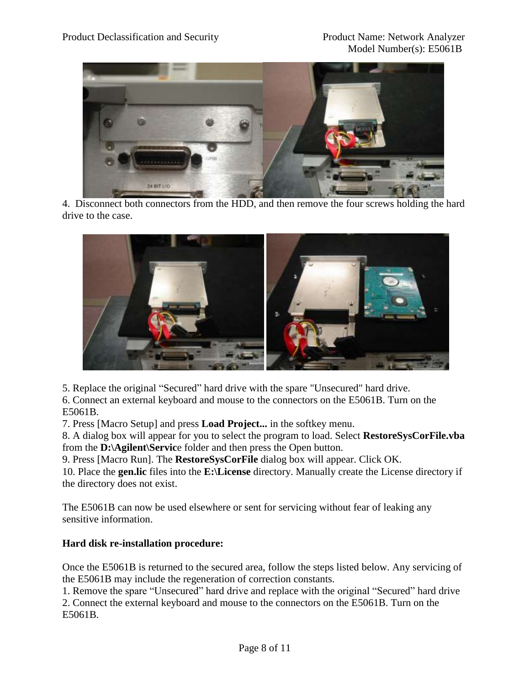

4. Disconnect both connectors from the HDD, and then remove the four screws holding the hard drive to the case.



5. Replace the original "Secured" hard drive with the spare "Unsecured" hard drive.

6. Connect an external keyboard and mouse to the connectors on the E5061B. Turn on the E5061B.

7. Press [Macro Setup] and press **Load Project...** in the softkey menu.

8. A dialog box will appear for you to select the program to load. Select **RestoreSysCorFile.vba** from the **D:\Agilent\Servic**e folder and then press the Open button.

9. Press [Macro Run]. The **RestoreSysCorFile** dialog box will appear. Click OK.

10. Place the **gen.lic** files into the **E:\License** directory. Manually create the License directory if the directory does not exist.

The E5061B can now be used elsewhere or sent for servicing without fear of leaking any sensitive information.

### **Hard disk re-installation procedure:**

Once the E5061B is returned to the secured area, follow the steps listed below. Any servicing of the E5061B may include the regeneration of correction constants.

1. Remove the spare "Unsecured" hard drive and replace with the original "Secured" hard drive 2. Connect the external keyboard and mouse to the connectors on the E5061B. Turn on the E5061B.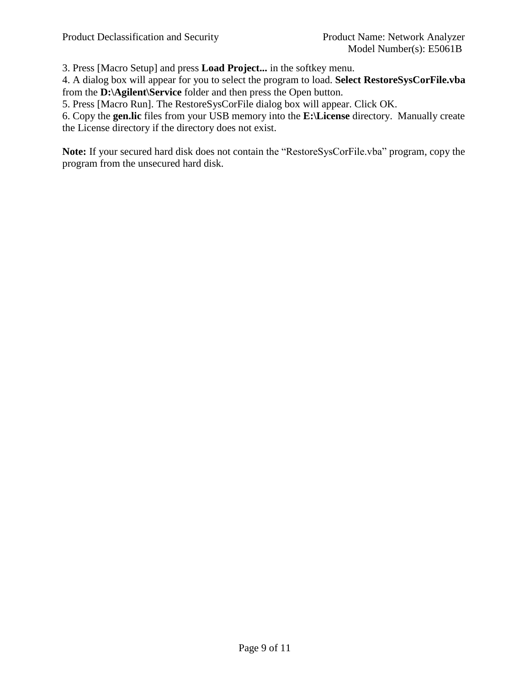3. Press [Macro Setup] and press **Load Project...** in the softkey menu.

4. A dialog box will appear for you to select the program to load. **Select RestoreSysCorFile.vba** from the **D:\Agilent\Service** folder and then press the Open button.

5. Press [Macro Run]. The RestoreSysCorFile dialog box will appear. Click OK.

6. Copy the **gen.lic** files from your USB memory into the **E:\License** directory. Manually create the License directory if the directory does not exist.

**Note:** If your secured hard disk does not contain the "RestoreSysCorFile.vba" program, copy the program from the unsecured hard disk.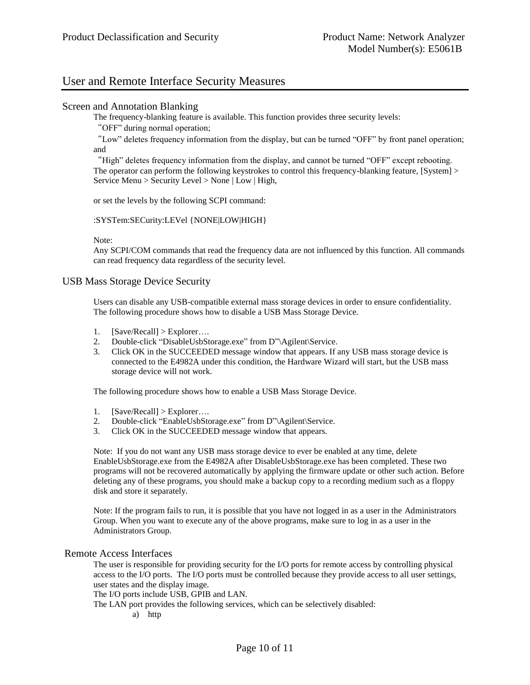### User and Remote Interface Security Measures

#### Screen and Annotation Blanking

The frequency-blanking feature is available. This function provides three security levels:

"OFF" during normal operation;

"Low" deletes frequency information from the display, but can be turned "OFF" by front panel operation; and

"High" deletes frequency information from the display, and cannot be turned "OFF" except rebooting. The operator can perform the following keystrokes to control this frequency-blanking feature, [System] > Service Menu > Security Level > None | Low | High,

or set the levels by the following SCPI command:

:SYSTem:SECurity:LEVel {NONE|LOW|HIGH}

Note:

Any SCPI/COM commands that read the frequency data are not influenced by this function. All commands can read frequency data regardless of the security level.

USB Mass Storage Device Security

Users can disable any USB-compatible external mass storage devices in order to ensure confidentiality. The following procedure shows how to disable a USB Mass Storage Device.

- 1. [Save/Recall] > Explorer….
- 2. Double-click "DisableUsbStorage.exe" from D"\Agilent\Service.
- 3. Click OK in the SUCCEEDED message window that appears. If any USB mass storage device is connected to the E4982A under this condition, the Hardware Wizard will start, but the USB mass storage device will not work.

The following procedure shows how to enable a USB Mass Storage Device.

- 1.  $[Save/Recall] > Explorer...$
- 2. Double-click "EnableUsbStorage.exe" from D"\Agilent\Service.
- 3. Click OK in the SUCCEEDED message window that appears.

Note: If you do not want any USB mass storage device to ever be enabled at any time, delete EnableUsbStorage.exe from the E4982A after DisableUsbStorage.exe has been completed. These two programs will not be recovered automatically by applying the firmware update or other such action. Before deleting any of these programs, you should make a backup copy to a recording medium such as a floppy disk and store it separately.

Note: If the program fails to run, it is possible that you have not logged in as a user in the Administrators Group. When you want to execute any of the above programs, make sure to log in as a user in the Administrators Group.

#### Remote Access Interfaces

The user is responsible for providing security for the I/O ports for remote access by controlling physical access to the I/O ports. The I/O ports must be controlled because they provide access to all user settings, user states and the display image.

The I/O ports include USB, GPIB and LAN.

The LAN port provides the following services, which can be selectively disabled:

a) http